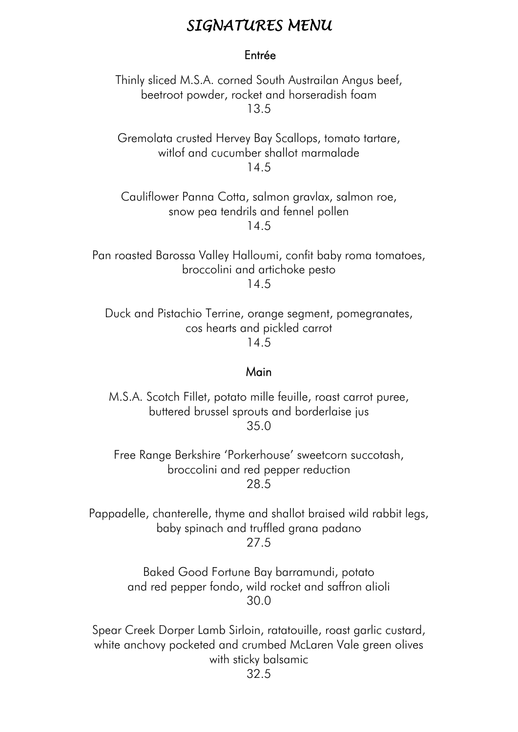# *SIGNATURES MENU*

### Entrée

Thinly sliced M.S.A. corned South Austrailan Angus beef, beetroot powder, rocket and horseradish foam 13.5

Gremolata crusted Hervey Bay Scallops, tomato tartare, witlof and cucumber shallot marmalade 14.5

Cauliflower Panna Cotta, salmon gravlax, salmon roe, snow pea tendrils and fennel pollen 14.5

Pan roasted Barossa Valley Halloumi, confit baby roma tomatoes, broccolini and artichoke pesto 14.5

Duck and Pistachio Terrine, orange segment, pomegranates, cos hearts and pickled carrot 14.5

#### Main

M.S.A. Scotch Fillet, potato mille feuille, roast carrot puree, buttered brussel sprouts and borderlaise jus 35.0

Free Range Berkshire 'Porkerhouse' sweetcorn succotash, broccolini and red pepper reduction 28.5

Pappadelle, chanterelle, thyme and shallot braised wild rabbit legs, baby spinach and truffled grana padano

27.5

Baked Good Fortune Bay barramundi, potato and red pepper fondo, wild rocket and saffron alioli 30.0

Spear Creek Dorper Lamb Sirloin, ratatouille, roast garlic custard, white anchovy pocketed and crumbed McLaren Vale green olives with sticky balsamic 32.5